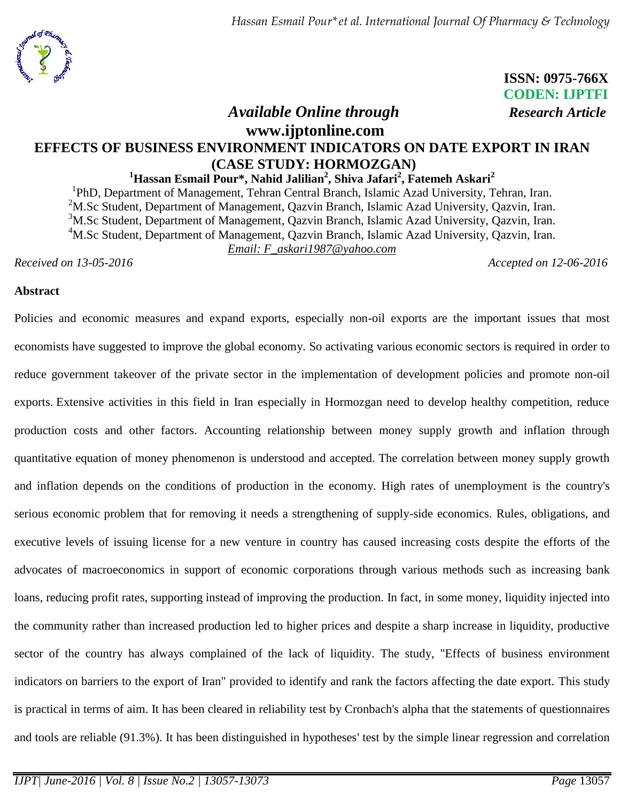

# **ISSN: 0975-766X CODEN: IJPTFI**

# *Available Online through Research Article*

# **www.ijptonline.com EFFECTS OF BUSINESS ENVIRONMENT INDICATORS ON DATE EXPORT IN IRAN (CASE STUDY: HORMOZGAN)**

### **<sup>1</sup>Hassan Esmail Pour\*, Nahid Jalilian<sup>2</sup> , Shiva Jafari<sup>2</sup> , Fatemeh Askari<sup>2</sup>**

<sup>1</sup>PhD, Department of Management, Tehran Central Branch, Islamic Azad University, Tehran, Iran.

<sup>2</sup>M.Sc Student, Department of Management, Qazvin Branch, Islamic Azad University, Qazvin, Iran.

 $3$ M.Sc Student, Department of Management, Qazvin Branch, Islamic Azad University, Qazvin, Iran.

<sup>4</sup>M.Sc Student, Department of Management, Qazvin Branch, Islamic Azad University, Qazvin, Iran.

*Email: F\_askari1987@yahoo.com*

*Received on 13-05-2016 Accepted on 12-06-2016*

#### **Abstract**

Policies and economic measures and expand exports, especially non-oil exports are the important issues that most economists have suggested to improve the global economy. So activating various economic sectors is required in order to reduce government takeover of the private sector in the implementation of development policies and promote non-oil exports. Extensive activities in this field in Iran especially in Hormozgan need to develop healthy competition, reduce production costs and other factors. Accounting relationship between money supply growth and inflation through quantitative equation of money phenomenon is understood and accepted. The correlation between money supply growth and inflation depends on the conditions of production in the economy. High rates of unemployment is the country's serious economic problem that for removing it needs a strengthening of supply-side economics. Rules, obligations, and executive levels of issuing license for a new venture in country has caused increasing costs despite the efforts of the advocates of macroeconomics in support of economic corporations through various methods such as increasing bank loans, reducing profit rates, supporting instead of improving the production. In fact, in some money, liquidity injected into the community rather than increased production led to higher prices and despite a sharp increase in liquidity, productive sector of the country has always complained of the lack of liquidity. The study, "Effects of business environment indicators on barriers to the export of Iran" provided to identify and rank the factors affecting the date export. This study is practical in terms of aim. It has been cleared in reliability test by Cronbach's alpha that the statements of questionnaires and tools are reliable (91.3%). It has been distinguished in hypotheses' test by the simple linear regression and correlation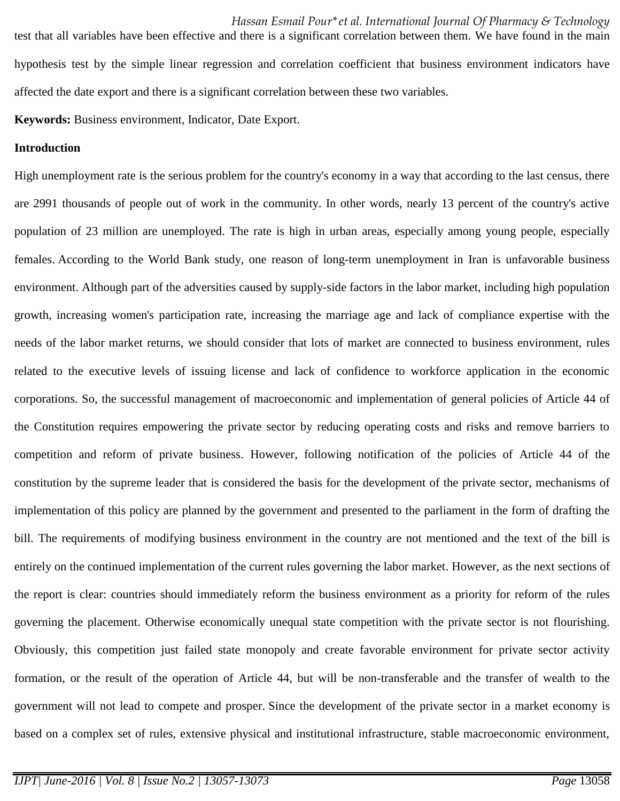*Hassan Esmail Pour\*et al. International Journal Of Pharmacy & Technology* test that all variables have been effective and there is a significant correlation between them. We have found in the main hypothesis test by the simple linear regression and correlation coefficient that business environment indicators have affected the date export and there is a significant correlation between these two variables.

**Keywords:** Business environment, Indicator, Date Export.

#### **Introduction**

High unemployment rate is the serious problem for the country's economy in a way that according to the last census, there are 2991 thousands of people out of work in the community. In other words, nearly 13 percent of the country's active population of 23 million are unemployed. The rate is high in urban areas, especially among young people, especially females. According to the World Bank study, one reason of long-term unemployment in Iran is unfavorable business environment. Although part of the adversities caused by supply-side factors in the labor market, including high population growth, increasing women's participation rate, increasing the marriage age and lack of compliance expertise with the needs of the labor market returns, we should consider that lots of market are connected to business environment, rules related to the executive levels of issuing license and lack of confidence to workforce application in the economic corporations. So, the successful management of macroeconomic and implementation of general policies of Article 44 of the Constitution requires empowering the private sector by reducing operating costs and risks and remove barriers to competition and reform of private business. However, following notification of the policies of Article 44 of the constitution by the supreme leader that is considered the basis for the development of the private sector, mechanisms of implementation of this policy are planned by the government and presented to the parliament in the form of drafting the bill. The requirements of modifying business environment in the country are not mentioned and the text of the bill is entirely on the continued implementation of the current rules governing the labor market. However, as the next sections of the report is clear: countries should immediately reform the business environment as a priority for reform of the rules governing the placement. Otherwise economically unequal state competition with the private sector is not flourishing. Obviously, this competition just failed state monopoly and create favorable environment for private sector activity formation, or the result of the operation of Article 44, but will be non-transferable and the transfer of wealth to the government will not lead to compete and prosper. Since the development of the private sector in a market economy is based on a complex set of rules, extensive physical and institutional infrastructure, stable macroeconomic environment,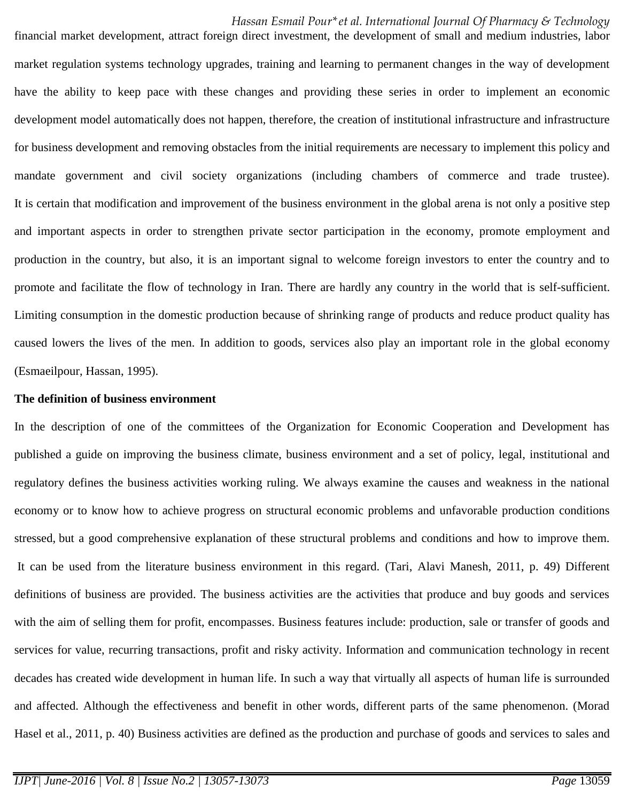financial market development, attract foreign direct investment, the development of small and medium industries, labor market regulation systems technology upgrades, training and learning to permanent changes in the way of development have the ability to keep pace with these changes and providing these series in order to implement an economic development model automatically does not happen, therefore, the creation of institutional infrastructure and infrastructure for business development and removing obstacles from the initial requirements are necessary to implement this policy and mandate government and civil society organizations (including chambers of commerce and trade trustee). It is certain that modification and improvement of the business environment in the global arena is not only a positive step and important aspects in order to strengthen private sector participation in the economy, promote employment and production in the country, but also, it is an important signal to welcome foreign investors to enter the country and to promote and facilitate the flow of technology in Iran. There are hardly any country in the world that is self-sufficient. Limiting consumption in the domestic production because of shrinking range of products and reduce product quality has caused lowers the lives of the men. In addition to goods, services also play an important role in the global economy (Esmaeilpour, Hassan, 1995).

#### **The definition of business environment**

In the description of one of the committees of the Organization for Economic Cooperation and Development has published a guide on improving the business climate, business environment and a set of policy, legal, institutional and regulatory defines the business activities working ruling. We always examine the causes and weakness in the national economy or to know how to achieve progress on structural economic problems and unfavorable production conditions stressed, but a good comprehensive explanation of these structural problems and conditions and how to improve them. It can be used from the literature business environment in this regard. (Tari, Alavi Manesh, 2011, p. 49) Different definitions of business are provided. The business activities are the activities that produce and buy goods and services with the aim of selling them for profit, encompasses. Business features include: production, sale or transfer of goods and services for value, recurring transactions, profit and risky activity. Information and communication technology in recent decades has created wide development in human life. In such a way that virtually all aspects of human life is surrounded and affected. Although the effectiveness and benefit in other words, different parts of the same phenomenon. (Morad Hasel et al., 2011, p. 40) Business activities are defined as the production and purchase of goods and services to sales and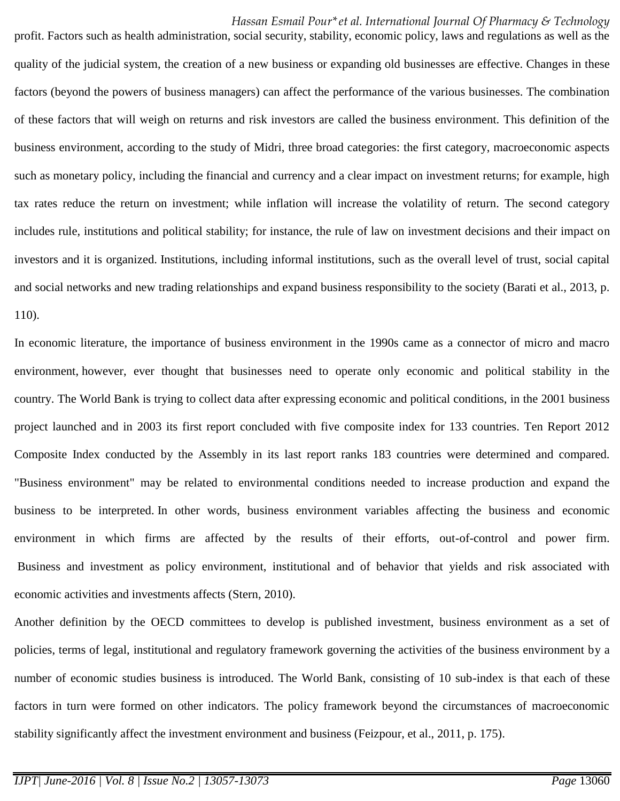profit. Factors such as health administration, social security, stability, economic policy, laws and regulations as well as the quality of the judicial system, the creation of a new business or expanding old businesses are effective. Changes in these factors (beyond the powers of business managers) can affect the performance of the various businesses. The combination of these factors that will weigh on returns and risk investors are called the business environment. This definition of the business environment, according to the study of Midri, three broad categories: the first category, macroeconomic aspects such as monetary policy, including the financial and currency and a clear impact on investment returns; for example, high tax rates reduce the return on investment; while inflation will increase the volatility of return. The second category includes rule, institutions and political stability; for instance, the rule of law on investment decisions and their impact on investors and it is organized. Institutions, including informal institutions, such as the overall level of trust, social capital and social networks and new trading relationships and expand business responsibility to the society (Barati et al., 2013, p. 110).

In economic literature, the importance of business environment in the 1990s came as a connector of micro and macro environment, however, ever thought that businesses need to operate only economic and political stability in the country. The World Bank is trying to collect data after expressing economic and political conditions, in the 2001 business project launched and in 2003 its first report concluded with five composite index for 133 countries. Ten Report 2012 Composite Index conducted by the Assembly in its last report ranks 183 countries were determined and compared. "Business environment" may be related to environmental conditions needed to increase production and expand the business to be interpreted. In other words, business environment variables affecting the business and economic environment in which firms are affected by the results of their efforts, out-of-control and power firm. Business and investment as policy environment, institutional and of behavior that yields and risk associated with economic activities and investments affects (Stern, 2010).

Another definition by the OECD committees to develop is published investment, business environment as a set of policies, terms of legal, institutional and regulatory framework governing the activities of the business environment by a number of economic studies business is introduced. The World Bank, consisting of 10 sub-index is that each of these factors in turn were formed on other indicators. The policy framework beyond the circumstances of macroeconomic stability significantly affect the investment environment and business (Feizpour, et al., 2011, p. 175).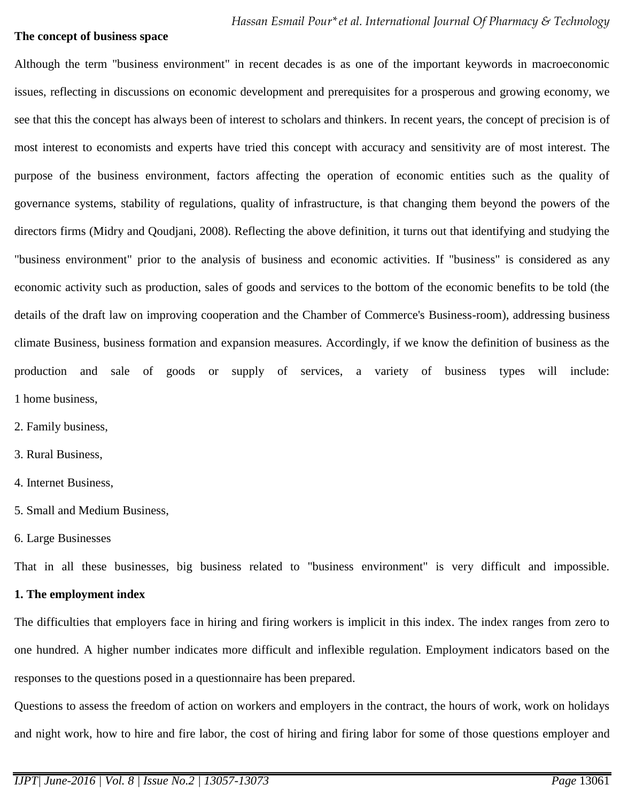#### **The concept of business space**

Although the term "business environment" in recent decades is as one of the important keywords in macroeconomic issues, reflecting in discussions on economic development and prerequisites for a prosperous and growing economy, we see that this the concept has always been of interest to scholars and thinkers. In recent years, the concept of precision is of most interest to economists and experts have tried this concept with accuracy and sensitivity are of most interest. The purpose of the business environment, factors affecting the operation of economic entities such as the quality of governance systems, stability of regulations, quality of infrastructure, is that changing them beyond the powers of the directors firms (Midry and Qoudjani, 2008). Reflecting the above definition, it turns out that identifying and studying the "business environment" prior to the analysis of business and economic activities. If "business" is considered as any economic activity such as production, sales of goods and services to the bottom of the economic benefits to be told (the details of the draft law on improving cooperation and the Chamber of Commerce's Business-room), addressing business climate Business, business formation and expansion measures. Accordingly, if we know the definition of business as the production and sale of goods or supply of services, a variety of business types will include: 1 home business,

- 2. Family business,
- 3. Rural Business,
- 4. Internet Business,
- 5. Small and Medium Business,
- 6. Large Businesses

That in all these businesses, big business related to "business environment" is very difficult and impossible.

#### **1. The employment index**

The difficulties that employers face in hiring and firing workers is implicit in this index. The index ranges from zero to one hundred. A higher number indicates more difficult and inflexible regulation. Employment indicators based on the responses to the questions posed in a questionnaire has been prepared.

Questions to assess the freedom of action on workers and employers in the contract, the hours of work, work on holidays and night work, how to hire and fire labor, the cost of hiring and firing labor for some of those questions employer and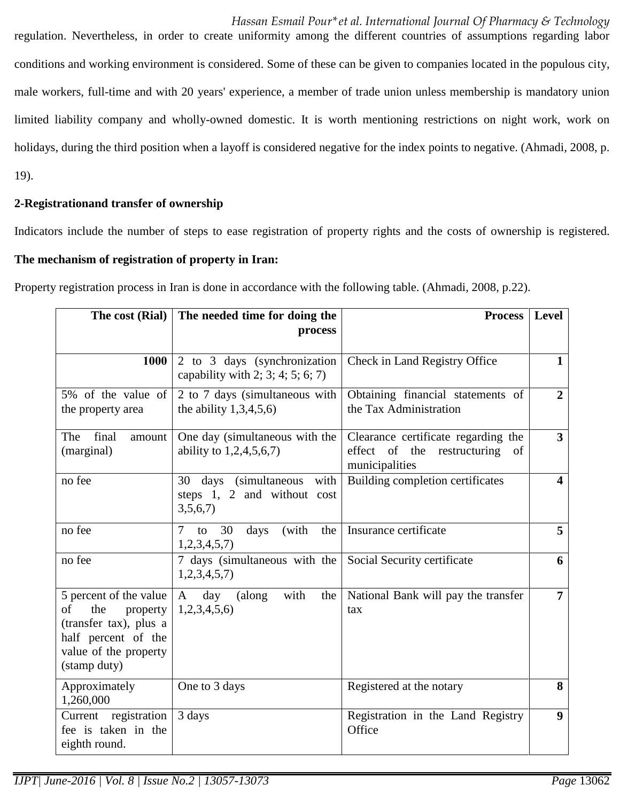*Hassan Esmail Pour\*et al. International Journal Of Pharmacy & Technology* regulation. Nevertheless, in order to create uniformity among the different countries of assumptions regarding labor conditions and working environment is considered. Some of these can be given to companies located in the populous city, male workers, full-time and with 20 years' experience, a member of trade union unless membership is mandatory union limited liability company and wholly-owned domestic. It is worth mentioning restrictions on night work, work on holidays, during the third position when a layoff is considered negative for the index points to negative. (Ahmadi, 2008, p. 19).

### **2-Registrationand transfer of ownership**

Indicators include the number of steps to ease registration of property rights and the costs of ownership is registered.

#### **The mechanism of registration of property in Iran:**

Property registration process in Iran is done in accordance with the following table. (Ahmadi, 2008, p.22).

| The cost (Rial)                                                                                                                           | The needed time for doing the<br>process                                | <b>Process</b>                                                                             | <b>Level</b>            |
|-------------------------------------------------------------------------------------------------------------------------------------------|-------------------------------------------------------------------------|--------------------------------------------------------------------------------------------|-------------------------|
| 1000                                                                                                                                      | 2 to 3 days (synchronization)<br>capability with 2; 3; 4; 5; 6; 7)      | Check in Land Registry Office                                                              | $\mathbf{1}$            |
| 5% of the value of<br>the property area                                                                                                   | 2 to 7 days (simultaneous with<br>the ability $1,3,4,5,6$               | Obtaining financial statements of<br>the Tax Administration                                | $\overline{2}$          |
| The<br>final<br>amount<br>(marginal)                                                                                                      | One day (simultaneous with the<br>ability to $1,2,4,5,6,7$              | Clearance certificate regarding the<br>effect of the restructuring<br>of<br>municipalities | 3 <sup>1</sup>          |
| no fee                                                                                                                                    | (simultaneous with<br>30 days<br>steps 1, 2 and without cost<br>3,5,6,7 | Building completion certificates                                                           | $\overline{\mathbf{4}}$ |
| no fee                                                                                                                                    | 30<br>(with<br>the<br>7<br>days<br>to<br>1,2,3,4,5,7                    | Insurance certificate                                                                      | 5 <sup>1</sup>          |
| no fee                                                                                                                                    | 7 days (simultaneous with the<br>1,2,3,4,5,7                            | Social Security certificate                                                                | 6                       |
| 5 percent of the value<br>of<br>the<br>property<br>(transfer tax), plus a<br>half percent of the<br>value of the property<br>(stamp duty) | with<br>A day<br>(along<br>the<br>1,2,3,4,5,6                           | National Bank will pay the transfer<br>tax                                                 | $\overline{7}$          |
| Approximately<br>1,260,000                                                                                                                | One to 3 days                                                           | Registered at the notary                                                                   | 8                       |
| Current registration<br>fee is taken in the<br>eighth round.                                                                              | 3 days                                                                  | Registration in the Land Registry<br>Office                                                | 9 <sup>°</sup>          |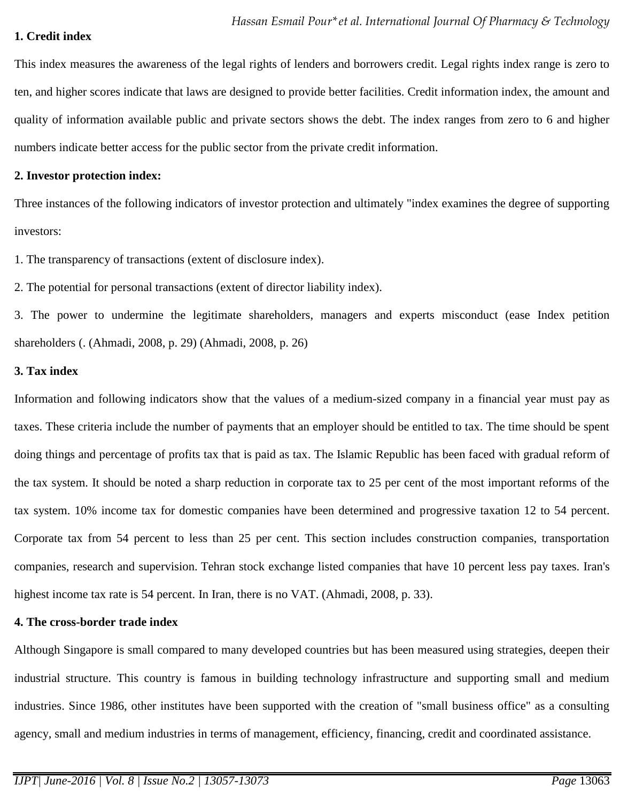#### **1. Credit index**

This index measures the awareness of the legal rights of lenders and borrowers credit. Legal rights index range is zero to ten, and higher scores indicate that laws are designed to provide better facilities. Credit information index, the amount and quality of information available public and private sectors shows the debt. The index ranges from zero to 6 and higher numbers indicate better access for the public sector from the private credit information.

#### **2. Investor protection index:**

Three instances of the following indicators of investor protection and ultimately "index examines the degree of supporting investors:

1. The transparency of transactions (extent of disclosure index).

2. The potential for personal transactions (extent of director liability index).

3. The power to undermine the legitimate shareholders, managers and experts misconduct (ease Index petition shareholders (. (Ahmadi, 2008, p. 29) (Ahmadi, 2008, p. 26)

#### **3. Tax index**

Information and following indicators show that the values of a medium-sized company in a financial year must pay as taxes. These criteria include the number of payments that an employer should be entitled to tax. The time should be spent doing things and percentage of profits tax that is paid as tax. The Islamic Republic has been faced with gradual reform of the tax system. It should be noted a sharp reduction in corporate tax to 25 per cent of the most important reforms of the tax system. 10% income tax for domestic companies have been determined and progressive taxation 12 to 54 percent. Corporate tax from 54 percent to less than 25 per cent. This section includes construction companies, transportation companies, research and supervision. Tehran stock exchange listed companies that have 10 percent less pay taxes. Iran's highest income tax rate is 54 percent. In Iran, there is no VAT. (Ahmadi, 2008, p. 33).

#### **4. The cross-border trade index**

Although Singapore is small compared to many developed countries but has been measured using strategies, deepen their industrial structure. This country is famous in building technology infrastructure and supporting small and medium industries. Since 1986, other institutes have been supported with the creation of "small business office" as a consulting agency, small and medium industries in terms of management, efficiency, financing, credit and coordinated assistance.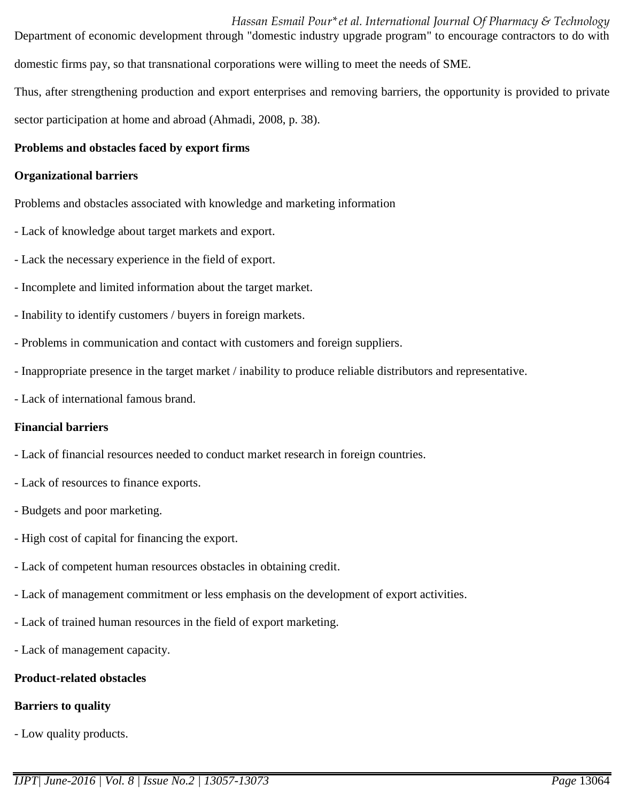*Hassan Esmail Pour\*et al. International Journal Of Pharmacy & Technology* Department of economic development through "domestic industry upgrade program" to encourage contractors to do with domestic firms pay, so that transnational corporations were willing to meet the needs of SME.

Thus, after strengthening production and export enterprises and removing barriers, the opportunity is provided to private sector participation at home and abroad (Ahmadi, 2008, p. 38).

## **Problems and obstacles faced by export firms**

#### **Organizational barriers**

Problems and obstacles associated with knowledge and marketing information

- Lack of knowledge about target markets and export.
- Lack the necessary experience in the field of export.
- Incomplete and limited information about the target market.
- Inability to identify customers / buyers in foreign markets.
- Problems in communication and contact with customers and foreign suppliers.
- Inappropriate presence in the target market / inability to produce reliable distributors and representative.
- Lack of international famous brand.

#### **Financial barriers**

- Lack of financial resources needed to conduct market research in foreign countries.
- Lack of resources to finance exports.
- Budgets and poor marketing.
- High cost of capital for financing the export.
- Lack of competent human resources obstacles in obtaining credit.
- Lack of management commitment or less emphasis on the development of export activities.
- Lack of trained human resources in the field of export marketing.
- Lack of management capacity.

# **Product-related obstacles**

# **Barriers to quality**

- Low quality products.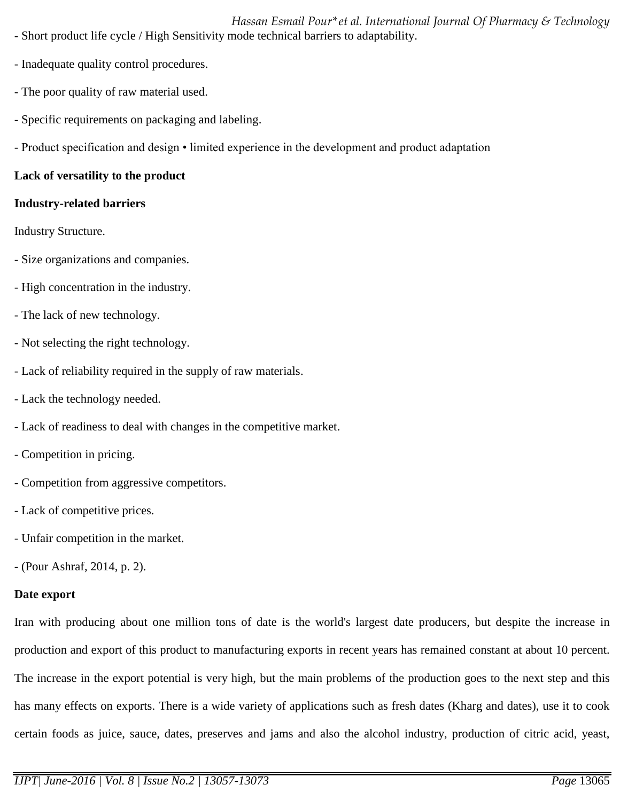*Hassan Esmail Pour\*et al. International Journal Of Pharmacy & Technology* - Short product life cycle / High Sensitivity mode technical barriers to adaptability.

- Inadequate quality control procedures.
- The poor quality of raw material used.
- Specific requirements on packaging and labeling.
- Product specification and design limited experience in the development and product adaptation

# **Lack of versatility to the product**

### **Industry-related barriers**

Industry Structure.

- Size organizations and companies.
- High concentration in the industry.
- The lack of new technology.
- Not selecting the right technology.
- Lack of reliability required in the supply of raw materials.
- Lack the technology needed.
- Lack of readiness to deal with changes in the competitive market.
- Competition in pricing.
- Competition from aggressive competitors.
- Lack of competitive prices.
- Unfair competition in the market.
- (Pour Ashraf, 2014, p. 2).

# **Date export**

Iran with producing about one million tons of date is the world's largest date producers, but despite the increase in production and export of this product to manufacturing exports in recent years has remained constant at about 10 percent. The increase in the export potential is very high, but the main problems of the production goes to the next step and this has many effects on exports. There is a wide variety of applications such as fresh dates (Kharg and dates), use it to cook certain foods as juice, sauce, dates, preserves and jams and also the alcohol industry, production of citric acid, yeast,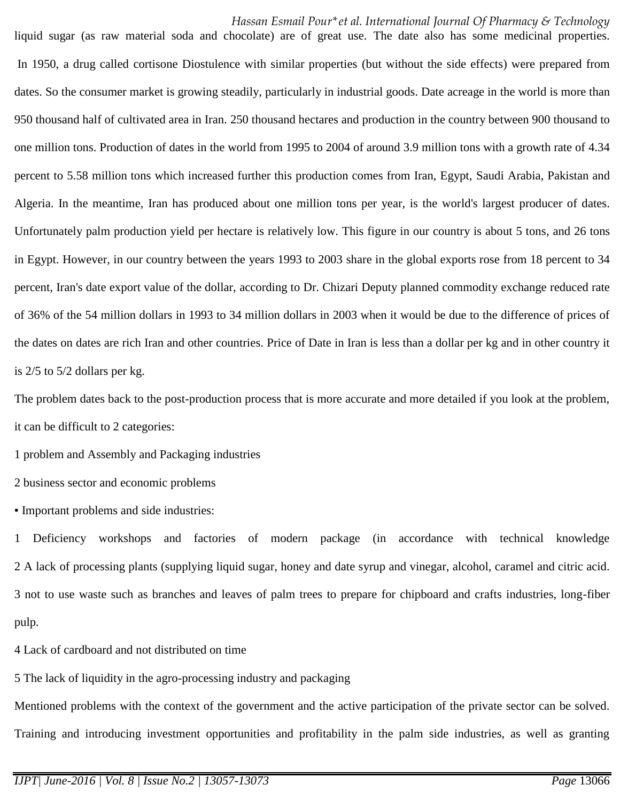liquid sugar (as raw material soda and chocolate) are of great use. The date also has some medicinal properties. In 1950, a drug called cortisone Diostulence with similar properties (but without the side effects) were prepared from dates. So the consumer market is growing steadily, particularly in industrial goods. Date acreage in the world is more than 950 thousand half of cultivated area in Iran. 250 thousand hectares and production in the country between 900 thousand to one million tons. Production of dates in the world from 1995 to 2004 of around 3.9 million tons with a growth rate of 4.34 percent to 5.58 million tons which increased further this production comes from Iran, Egypt, Saudi Arabia, Pakistan and Algeria. In the meantime, Iran has produced about one million tons per year, is the world's largest producer of dates. Unfortunately palm production yield per hectare is relatively low. This figure in our country is about 5 tons, and 26 tons in Egypt. However, in our country between the years 1993 to 2003 share in the global exports rose from 18 percent to 34 percent, Iran's date export value of the dollar, according to Dr. Chizari Deputy planned commodity exchange reduced rate of 36% of the 54 million dollars in 1993 to 34 million dollars in 2003 when it would be due to the difference of prices of the dates on dates are rich Iran and other countries. Price of Date in Iran is less than a dollar per kg and in other country it is 2/5 to 5/2 dollars per kg.

The problem dates back to the post-production process that is more accurate and more detailed if you look at the problem, it can be difficult to 2 categories:

1 problem and Assembly and Packaging industries

2 business sector and economic problems

▪ Important problems and side industries:

1 Deficiency workshops and factories of modern package (in accordance with technical knowledge 2 A lack of processing plants (supplying liquid sugar, honey and date syrup and vinegar, alcohol, caramel and citric acid. 3 not to use waste such as branches and leaves of palm trees to prepare for chipboard and crafts industries, long-fiber pulp.

4 Lack of cardboard and not distributed on time

5 The lack of liquidity in the agro-processing industry and packaging

Mentioned problems with the context of the government and the active participation of the private sector can be solved. Training and introducing investment opportunities and profitability in the palm side industries, as well as granting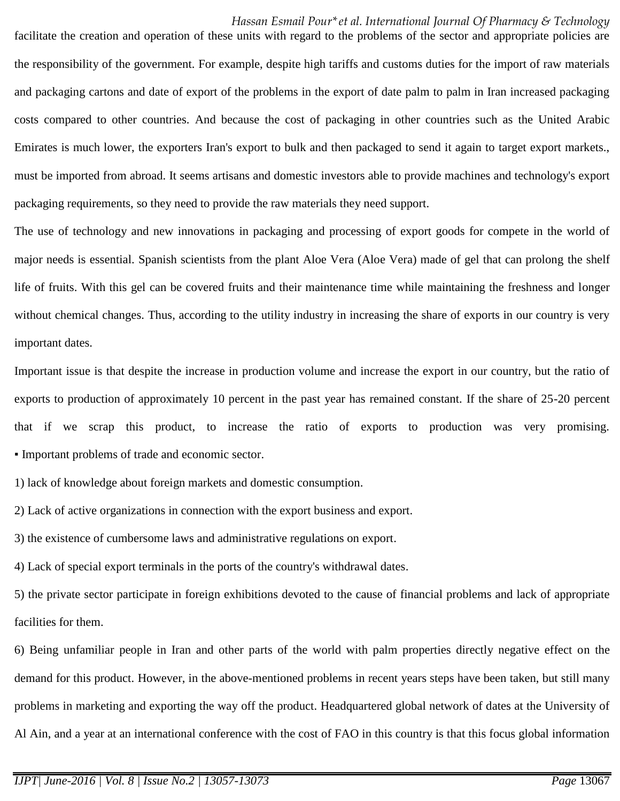facilitate the creation and operation of these units with regard to the problems of the sector and appropriate policies are the responsibility of the government. For example, despite high tariffs and customs duties for the import of raw materials and packaging cartons and date of export of the problems in the export of date palm to palm in Iran increased packaging costs compared to other countries. And because the cost of packaging in other countries such as the United Arabic Emirates is much lower, the exporters Iran's export to bulk and then packaged to send it again to target export markets., must be imported from abroad. It seems artisans and domestic investors able to provide machines and technology's export packaging requirements, so they need to provide the raw materials they need support.

The use of technology and new innovations in packaging and processing of export goods for compete in the world of major needs is essential. Spanish scientists from the plant Aloe Vera (Aloe Vera) made of gel that can prolong the shelf life of fruits. With this gel can be covered fruits and their maintenance time while maintaining the freshness and longer without chemical changes. Thus, according to the utility industry in increasing the share of exports in our country is very important dates.

Important issue is that despite the increase in production volume and increase the export in our country, but the ratio of exports to production of approximately 10 percent in the past year has remained constant. If the share of 25-20 percent that if we scrap this product, to increase the ratio of exports to production was very promising. ▪ Important problems of trade and economic sector.

1) lack of knowledge about foreign markets and domestic consumption.

2) Lack of active organizations in connection with the export business and export.

3) the existence of cumbersome laws and administrative regulations on export.

4) Lack of special export terminals in the ports of the country's withdrawal dates.

5) the private sector participate in foreign exhibitions devoted to the cause of financial problems and lack of appropriate facilities for them.

6) Being unfamiliar people in Iran and other parts of the world with palm properties directly negative effect on the demand for this product. However, in the above-mentioned problems in recent years steps have been taken, but still many problems in marketing and exporting the way off the product. Headquartered global network of dates at the University of Al Ain, and a year at an international conference with the cost of FAO in this country is that this focus global information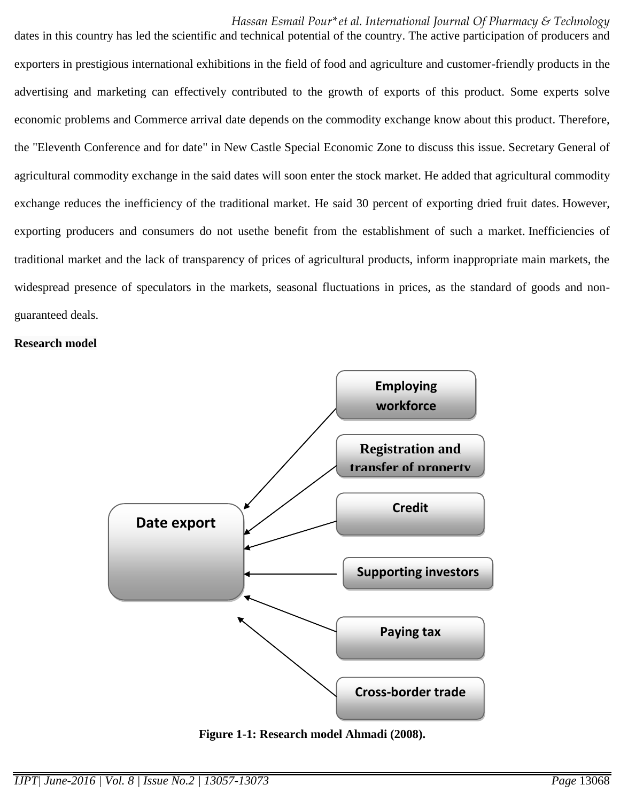dates in this country has led the scientific and technical potential of the country. The active participation of producers and exporters in prestigious international exhibitions in the field of food and agriculture and customer-friendly products in the advertising and marketing can effectively contributed to the growth of exports of this product. Some experts solve economic problems and Commerce arrival date depends on the commodity exchange know about this product. Therefore, the "Eleventh Conference and for date" in New Castle Special Economic Zone to discuss this issue. Secretary General of agricultural commodity exchange in the said dates will soon enter the stock market. He added that agricultural commodity exchange reduces the inefficiency of the traditional market. He said 30 percent of exporting dried fruit dates. However, exporting producers and consumers do not usethe benefit from the establishment of such a market. Inefficiencies of traditional market and the lack of transparency of prices of agricultural products, inform inappropriate main markets, the widespread presence of speculators in the markets, seasonal fluctuations in prices, as the standard of goods and nonguaranteed deals.

#### **Research model**



**Figure 1-1: Research model Ahmadi (2008).**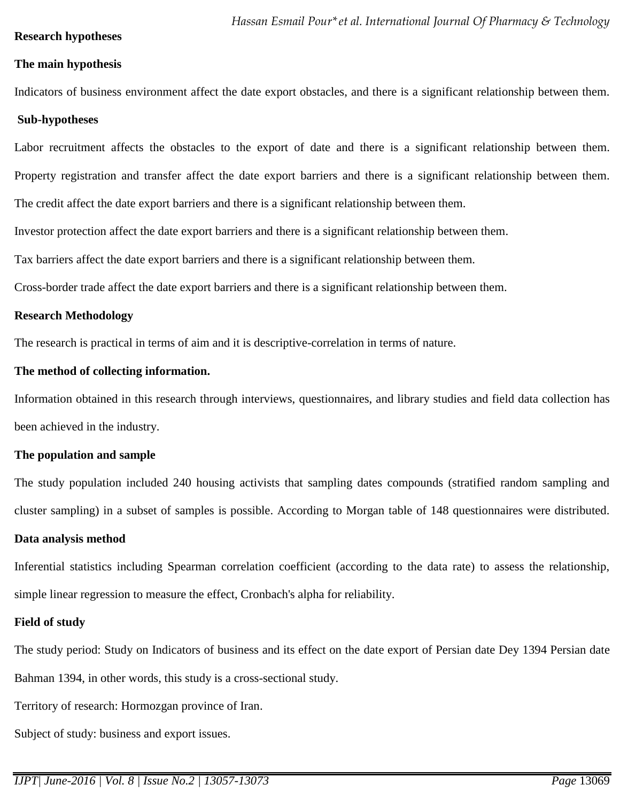#### **Research hypotheses**

#### **The main hypothesis**

Indicators of business environment affect the date export obstacles, and there is a significant relationship between them.

#### **Sub-hypotheses**

Labor recruitment affects the obstacles to the export of date and there is a significant relationship between them. Property registration and transfer affect the date export barriers and there is a significant relationship between them.

The credit affect the date export barriers and there is a significant relationship between them.

Investor protection affect the date export barriers and there is a significant relationship between them.

Tax barriers affect the date export barriers and there is a significant relationship between them.

Cross-border trade affect the date export barriers and there is a significant relationship between them.

#### **Research Methodology**

The research is practical in terms of aim and it is descriptive-correlation in terms of nature.

#### **The method of collecting information.**

Information obtained in this research through interviews, questionnaires, and library studies and field data collection has been achieved in the industry.

#### **The population and sample**

The study population included 240 housing activists that sampling dates compounds (stratified random sampling and cluster sampling) in a subset of samples is possible. According to Morgan table of 148 questionnaires were distributed.

#### **Data analysis method**

Inferential statistics including Spearman correlation coefficient (according to the data rate) to assess the relationship, simple linear regression to measure the effect, Cronbach's alpha for reliability.

#### **Field of study**

The study period: Study on Indicators of business and its effect on the date export of Persian date Dey 1394 Persian date Bahman 1394, in other words, this study is a cross-sectional study.

Territory of research: Hormozgan province of Iran.

Subject of study: business and export issues.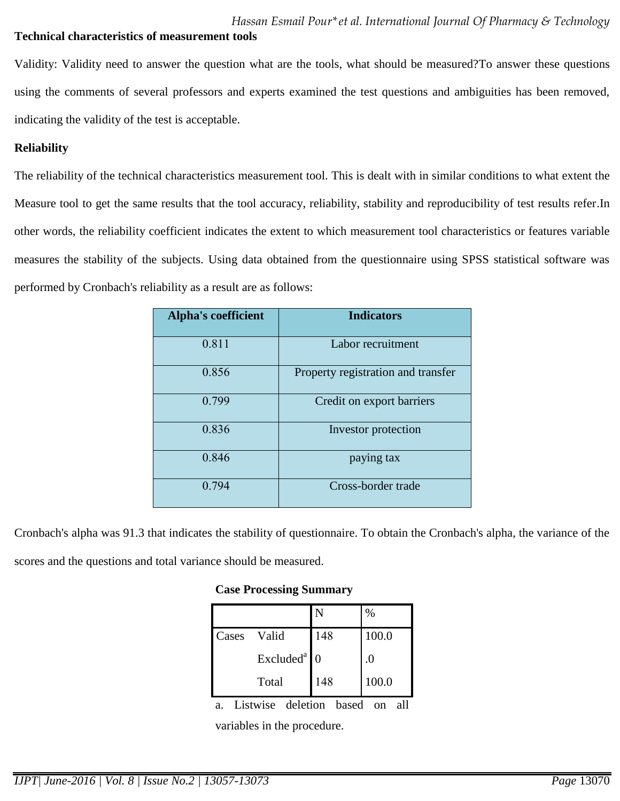#### **Technical characteristics of measurement tools**

Validity: Validity need to answer the question what are the tools, what should be measured?To answer these questions using the comments of several professors and experts examined the test questions and ambiguities has been removed, indicating the validity of the test is acceptable.

#### **Reliability**

The reliability of the technical characteristics measurement tool. This is dealt with in similar conditions to what extent the Measure tool to get the same results that the tool accuracy, reliability, stability and reproducibility of test results refer.In other words, the reliability coefficient indicates the extent to which measurement tool characteristics or features variable measures the stability of the subjects. Using data obtained from the questionnaire using SPSS statistical software was performed by Cronbach's reliability as a result are as follows:

| <b>Alpha's coefficient</b> | <b>Indicators</b>                  |
|----------------------------|------------------------------------|
| 0.811                      | Labor recruitment                  |
| 0.856                      | Property registration and transfer |
| 0.799                      | Credit on export barriers          |
| 0.836                      | Investor protection                |
| 0.846                      | paying tax                         |
| 0.794                      | Cross-border trade                 |

Cronbach's alpha was 91.3 that indicates the stability of questionnaire. To obtain the Cronbach's alpha, the variance of the scores and the questions and total variance should be measured.

#### **Case Processing Summary**

|                         |     | %     |  |
|-------------------------|-----|-------|--|
| Valid<br>Cases          | 148 | 100.0 |  |
| $Excludeda$ 0           |     | .0    |  |
| Total                   | 148 | 100.0 |  |
| Listwise deletion based |     |       |  |

variables in the procedure.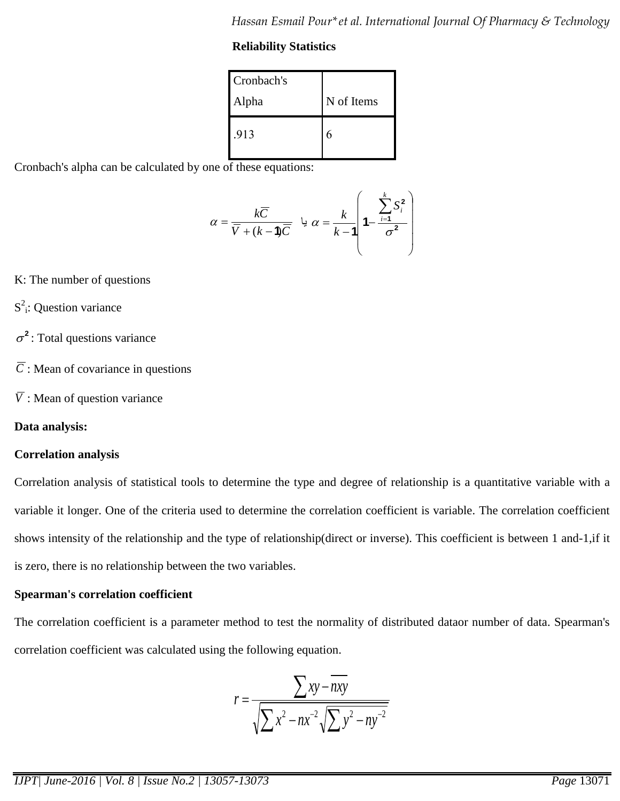# **Reliability Statistics**

| Cronbach's |            |
|------------|------------|
| Alpha      | N of Items |
| .913       |            |

Cronbach's alpha can be calculated by one of these equations:

$$
\alpha = \frac{k\overline{C}}{\overline{V} + (k-1)\overline{C}} \quad \text{if} \quad \alpha = \frac{k}{k-1} \left( 1 - \frac{\sum_{i=1}^{k} S_i^2}{\sigma^2} \right)
$$

- K: The number of questions
- $S^2$ : Question variance
- $\sigma^2$ : Total questions variance
- *C* : Mean of covariance in questions
- *V* : Mean of question variance

# **Data analysis:**

# **Correlation analysis**

Correlation analysis of statistical tools to determine the type and degree of relationship is a quantitative variable with a variable it longer. One of the criteria used to determine the correlation coefficient is variable. The correlation coefficient shows intensity of the relationship and the type of relationship(direct or inverse). This coefficient is between 1 and-1,if it is zero, there is no relationship between the two variables.

# **Spearman's correlation coefficient**

The correlation coefficient is a parameter method to test the normality of distributed dataor number of data. Spearman's correlation coefficient was calculated using the following equation.

$$
r = \frac{\sum xy - \overline{nxy}}{\sqrt{\sum x^2 - nx^{-2}} \sqrt{\sum y^2 - ny^{-2}}}
$$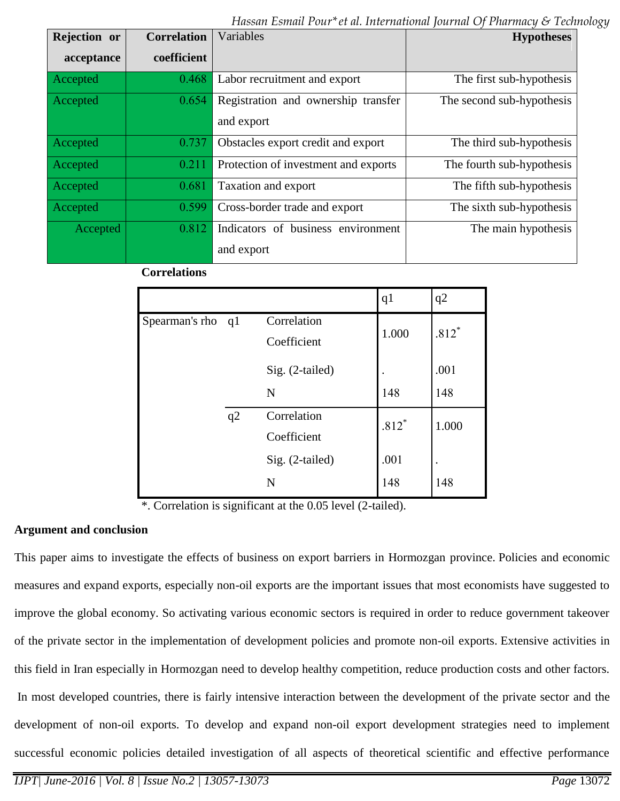*Hassan Esmail Pour\*et al. International Journal Of Pharmacy & Technology*

| Rejection or | <b>Correlation</b> | Variables                                         | <b>Hypotheses</b>         |
|--------------|--------------------|---------------------------------------------------|---------------------------|
| acceptance   | coefficient        |                                                   |                           |
| Accepted     | 0.468              | Labor recruitment and export                      | The first sub-hypothesis  |
| Accepted     | 0.654              | Registration and ownership transfer<br>and export | The second sub-hypothesis |
| Accepted     | 0.737              | Obstacles export credit and export                | The third sub-hypothesis  |
| Accepted     | 0.211              | Protection of investment and exports              | The fourth sub-hypothesis |
| Accepted     | 0.681              | Taxation and export                               | The fifth sub-hypothesis  |
| Accepted     | 0.599              | Cross-border trade and export                     | The sixth sub-hypothesis  |
| Accepted     | 0.812              | Indicators of business environment                | The main hypothesis       |
|              |                    | and export                                        |                           |

# **Correlations**

|                   |    |                            | q <sub>1</sub> | q2        |
|-------------------|----|----------------------------|----------------|-----------|
| Spearman's rho q1 |    | Correlation<br>Coefficient | 1.000          | $.812*$   |
|                   |    | Sig. (2-tailed)            |                | .001      |
|                   |    | N                          | 148            | 148       |
|                   | q2 | Correlation<br>Coefficient | $.812*$        | 1.000     |
|                   |    | Sig. (2-tailed)            | .001           | $\bullet$ |
|                   |    | N                          | 148            | 148       |

\*. Correlation is significant at the 0.05 level (2-tailed).

#### **Argument and conclusion**

This paper aims to investigate the effects of business on export barriers in Hormozgan province. Policies and economic measures and expand exports, especially non-oil exports are the important issues that most economists have suggested to improve the global economy. So activating various economic sectors is required in order to reduce government takeover of the private sector in the implementation of development policies and promote non-oil exports. Extensive activities in this field in Iran especially in Hormozgan need to develop healthy competition, reduce production costs and other factors. In most developed countries, there is fairly intensive interaction between the development of the private sector and the development of non-oil exports. To develop and expand non-oil export development strategies need to implement successful economic policies detailed investigation of all aspects of theoretical scientific and effective performance